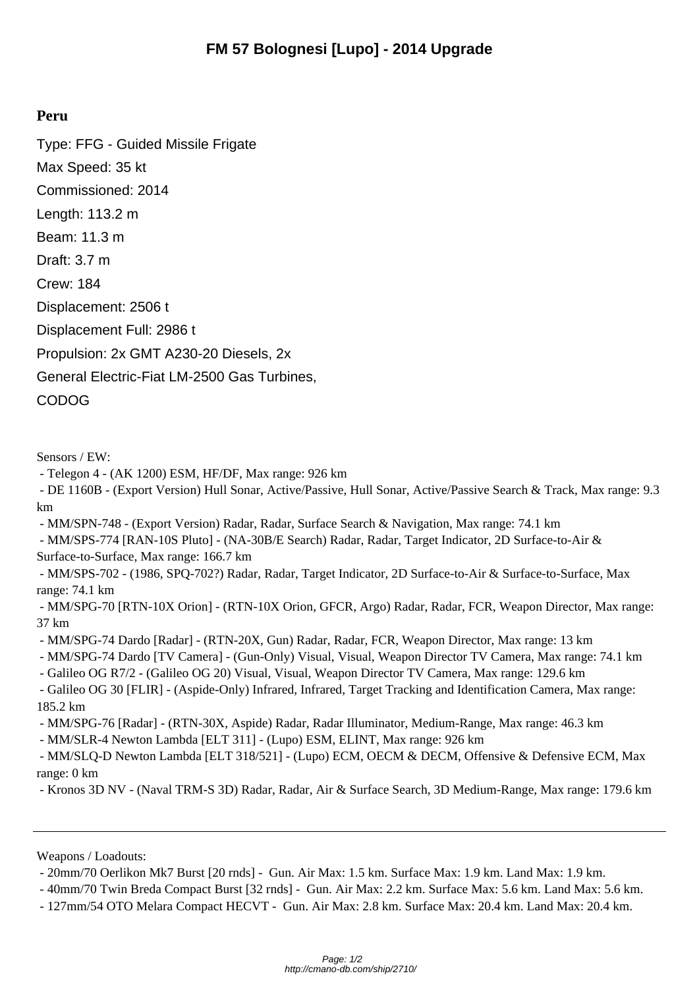## **Peru**

Type: FFG - Guided Missile Frigate Max Speed: 35 kt Commissioned: 2014 Length: 113.2 m Beam: 11.3 m Draft: 3.7 m Crew: 184 Displacement: 2506 t Displacement Full: 2986 t Propulsion: 2x GMT A230-20 Diesels, 2x General Electric-Fiat LM-2500 Gas Turbines, CODOG

Sensors / EW:

- Telegon 4 - (AK 1200) ESM, HF/DF, Max range: 926 km

 - DE 1160B - (Export Version) Hull Sonar, Active/Passive, Hull Sonar, Active/Passive Search & Track, Max range: 9.3 km

- MM/SPN-748 - (Export Version) Radar, Radar, Surface Search & Navigation, Max range: 74.1 km

 - MM/SPS-774 [RAN-10S Pluto] - (NA-30B/E Search) Radar, Radar, Target Indicator, 2D Surface-to-Air & Surface-to-Surface, Max range: 166.7 km

 - MM/SPS-702 - (1986, SPQ-702?) Radar, Radar, Target Indicator, 2D Surface-to-Air & Surface-to-Surface, Max range: 74.1 km

 - MM/SPG-70 [RTN-10X Orion] - (RTN-10X Orion, GFCR, Argo) Radar, Radar, FCR, Weapon Director, Max range: 37 km

- MM/SPG-74 Dardo [Radar] - (RTN-20X, Gun) Radar, Radar, FCR, Weapon Director, Max range: 13 km

- MM/SPG-74 Dardo [TV Camera] - (Gun-Only) Visual, Visual, Weapon Director TV Camera, Max range: 74.1 km

- Galileo OG R7/2 - (Galileo OG 20) Visual, Visual, Weapon Director TV Camera, Max range: 129.6 km

 - Galileo OG 30 [FLIR] - (Aspide-Only) Infrared, Infrared, Target Tracking and Identification Camera, Max range: 185.2 km

- MM/SPG-76 [Radar] - (RTN-30X, Aspide) Radar, Radar Illuminator, Medium-Range, Max range: 46.3 km

- MM/SLR-4 Newton Lambda [ELT 311] - (Lupo) ESM, ELINT, Max range: 926 km

 - MM/SLQ-D Newton Lambda [ELT 318/521] - (Lupo) ECM, OECM & DECM, Offensive & Defensive ECM, Max range: 0 km

- Kronos 3D NV - (Naval TRM-S 3D) Radar, Radar, Air & Surface Search, 3D Medium-Range, Max range: 179.6 km

Weapons / Loadouts:

- 20mm/70 Oerlikon Mk7 Burst [20 rnds] - Gun. Air Max: 1.5 km. Surface Max: 1.9 km. Land Max: 1.9 km.

- 40mm/70 Twin Breda Compact Burst [32 rnds] - Gun. Air Max: 2.2 km. Surface Max: 5.6 km. Land Max: 5.6 km.

- 127mm/54 OTO Melara Compact HECVT - Gun. Air Max: 2.8 km. Surface Max: 20.4 km. Land Max: 20.4 km.